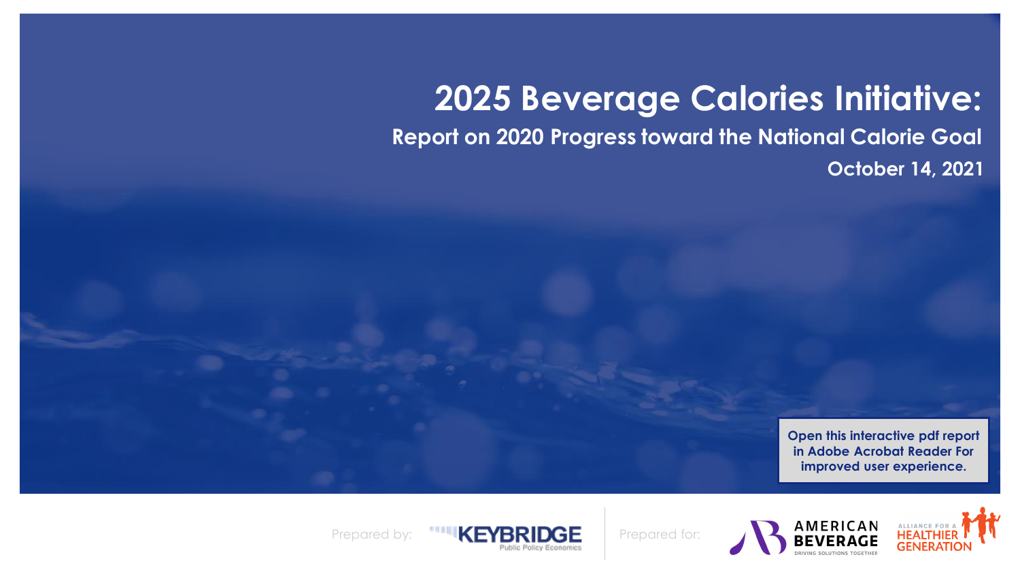# **2025 Beverage Calories Initiative:**

<span id="page-0-0"></span>**Report on 2020 Progress toward the National Calorie Goal October 14, 2021**

> **Open this interactive pdf report in Adobe Acrobat Reader For improved user experience.**





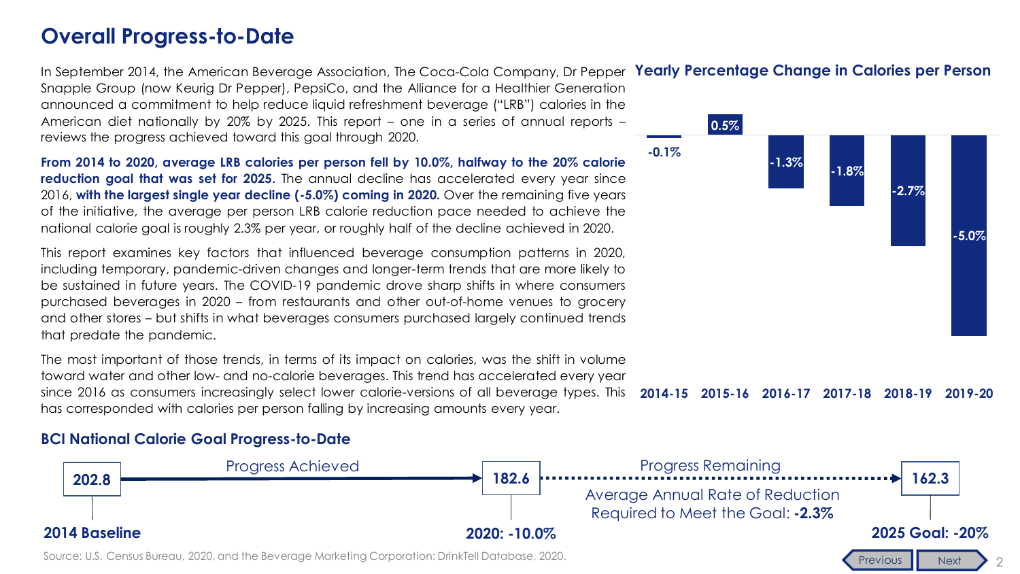### <span id="page-1-0"></span>**Overall Progress-to-Date**

In September 2014, the American Beverage Association, The Coca-Cola Company, Dr Pepper Yearly Percentage Change in Calories per Person Snapple Group (now Keurig Dr Pepper), PepsiCo, and the Alliance for a Healthier Generation announced a commitment to help reduce liquid refreshment beverage ("LRB") calories in the American diet nationally by 20% by 2025. This report – one in a series of annual reports – reviews the progress achieved toward this goal through 2020.

**From 2014 to 2020, average LRB calories per person fell by 10.0%, halfway to the 20% calorie reduction goal that was set for 2025.** The annual decline has accelerated every year since 2016, **with the largest single year decline (-5.0%) coming in 2020.** Over the remaining five years of the initiative, the average per person LRB calorie reduction pace needed to achieve the national calorie goal is roughly 2.3% per year, or roughly half of the decline achieved in 2020.

This report examines key factors that influenced beverage consumption patterns in 2020, including temporary, pandemic-driven changes and longer-term trends that are more likely to be sustained in future years. The COVID-19 pandemic drove sharp shifts in where consumers purchased beverages in 2020 – from restaurants and other out-of-home venues to grocery and other stores – but shifts in what beverages consumers purchased largely continued trends that predate the pandemic.

**2014-15 2015-16 2016-17 2017-18 2018-19 2019-20** The most important of those trends, in terms of its impact on calories, was the shift in volume toward water and other low- and no-calorie beverages. This trend has accelerated every year since 2016 as consumers increasingly select lower calorie-versions of all beverage types. This has corresponded with calories per person falling by increasing amounts every year.

#### **BCI National Calorie Goal Progress-to-Date**



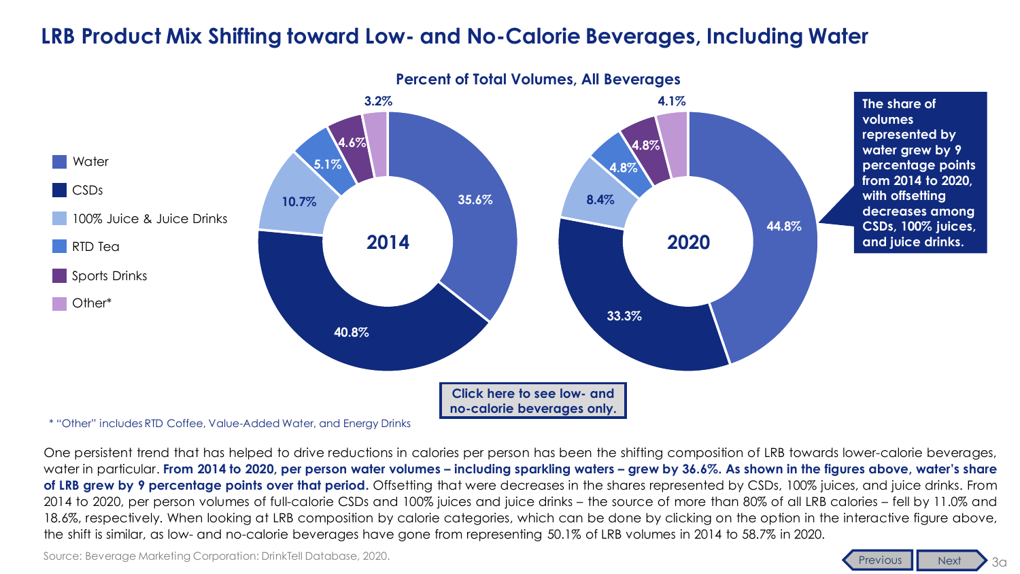### <span id="page-2-0"></span>**LRB Product Mix Shifting toward Low- and No-Calorie Beverages, Including Water**



**Percent of Total Volumes, All Beverages**

\* "Other" includes RTD Coffee, Value-Added Water, and Energy Drinks

One persistent trend that has helped to drive reductions in calories per person has been the shifting composition of LRB towards lower-calorie beverages, water in particular. From 2014 to 2020, per person water volumes – including sparkling waters – grew by 36.6%. As shown in the figures above, water's share **of LRB grew by 9 percentage points over that period.** Offsetting that were decreases in the shares represented by CSDs, 100% juices, and juice drinks. From 2014 to 2020, per person volumes of full-calorie CSDs and 100% juices and juice drinks – the source of more than 80% of all LRB calories – fell by 11.0% and 18.6%, respectively. When looking at LRB composition by calorie categories, which can be done by clicking on the option in the interactive figure above, the shift is similar, as low- and no-calorie beverages have gone from representing 50.1% of LRB volumes in 2014 to 58.7% in 2020.

Source: Beverage Marketing Corporation: DrinkTell Database, 2020.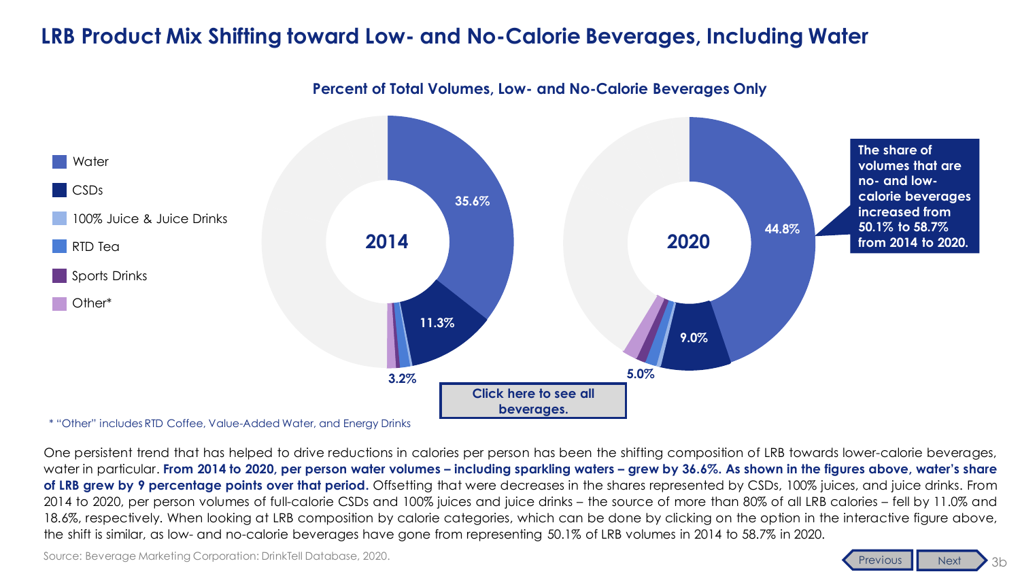### <span id="page-3-0"></span>**LRB Product Mix Shifting toward Low- and No-Calorie Beverages, Including Water**

**Percent of Total Volumes, Low- and No-Calorie Beverages Only**



\* "Other" includes RTD Coffee, Value-Added Water, and Energy Drinks

One persistent trend that has helped to drive reductions in calories per person has been the shifting composition of LRB towards lower-calorie beverages, water in particular. From 2014 to 2020, per person water volumes – including sparkling waters – grew by 36.6%. As shown in the figures above, water's share **of LRB grew by 9 percentage points over that period.** Offsetting that were decreases in the shares represented by CSDs, 100% juices, and juice drinks. From 2014 to 2020, per person volumes of full-calorie CSDs and 100% juices and juice drinks – the source of more than 80% of all LRB calories – fell by 11.0% and 18.6%, respectively. When looking at LRB composition by calorie categories, which can be done by clicking on the option in the interactive figure above, the shift is similar, as low- and no-calorie beverages have gone from representing 50.1% of LRB volumes in 2014 to 58.7% in 2020.

Source: Beverage Marketing Corporation: DrinkTell Database, 2020.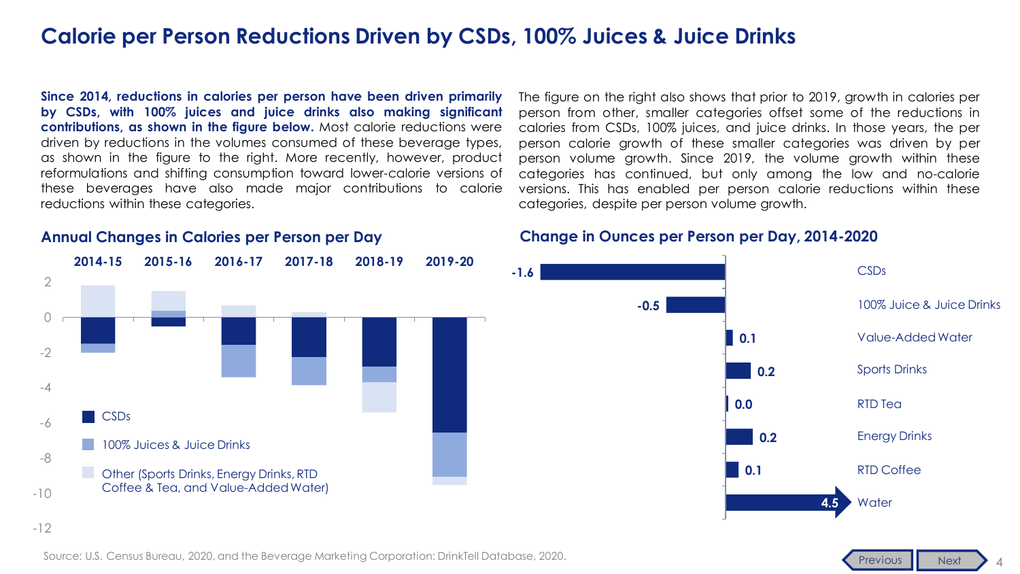### <span id="page-4-0"></span>**Calorie per Person Reductions Driven by CSDs, 100% Juices & Juice Drinks**

**Since 2014, reductions in calories per person have been driven primarily by CSDs, with 100% juices and juice drinks also making significant contributions, as shown in the figure below.** Most calorie reductions were driven by reductions in the volumes consumed of these beverage types, as shown in the figure to the right. More recently, however, product reformulations and shifting consumption toward lower-calorie versions of these beverages have also made major contributions to calorie reductions within these categories.

The figure on the right also shows that prior to 2019, growth in calories per person from other, smaller categories offset some of the reductions in calories from CSDs, 100% juices, and juice drinks. In those years, the per person calorie growth of these smaller categories was driven by per person volume growth. Since 2019, the volume growth within these categories has continued, but only among the low and no-calorie versions. This has enabled per person calorie reductions within these categories, despite per person volume growth.

#### **Change in Ounces per Person per Day, 2014-2020**



### **Annual Changes in Calories per Person per Day**

-12



Source: U.S. Census Bureau, 2020, and the Beverage Marketing Corporation: DrinkTell Database, 2020.

[Previous](#page-3-0) [Next](#page-5-0)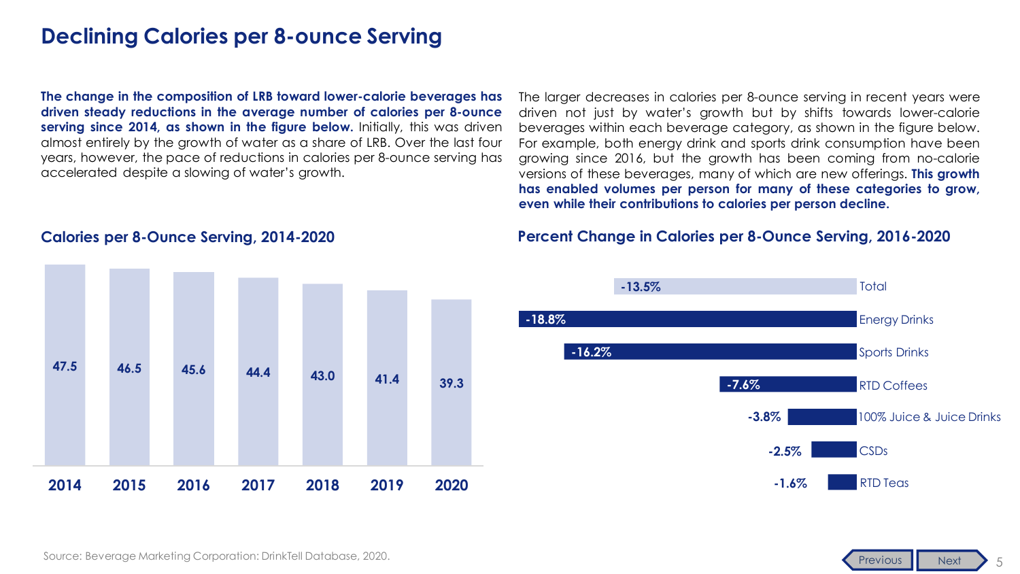### <span id="page-5-0"></span>**Declining Calories per 8-ounce Serving**

**The change in the composition of LRB toward lower-calorie beverages has driven steady reductions in the average number of calories per 8-ounce serving since 2014, as shown in the figure below.** Initially, this was driven almost entirely by the growth of water as a share of LRB. Over the last four years, however, the pace of reductions in calories per 8-ounce serving has accelerated despite a slowing of water's growth.

The larger decreases in calories per 8-ounce serving in recent years were driven not just by water's growth but by shifts towards lower-calorie beverages within each beverage category, as shown in the figure below. For example, both energy drink and sports drink consumption have been growing since 2016, but the growth has been coming from no-calorie versions of these beverages, many of which are new offerings. **This growth has enabled volumes per person for many of these categories to grow, even while their contributions to calories per person decline.**

#### **Percent Change in Calories per 8-Ounce Serving, 2016-2020**



5

[Previous](#page-4-0) [Next](#page-6-0)

#### **Calories per 8-Ounce Serving, 2014-2020**

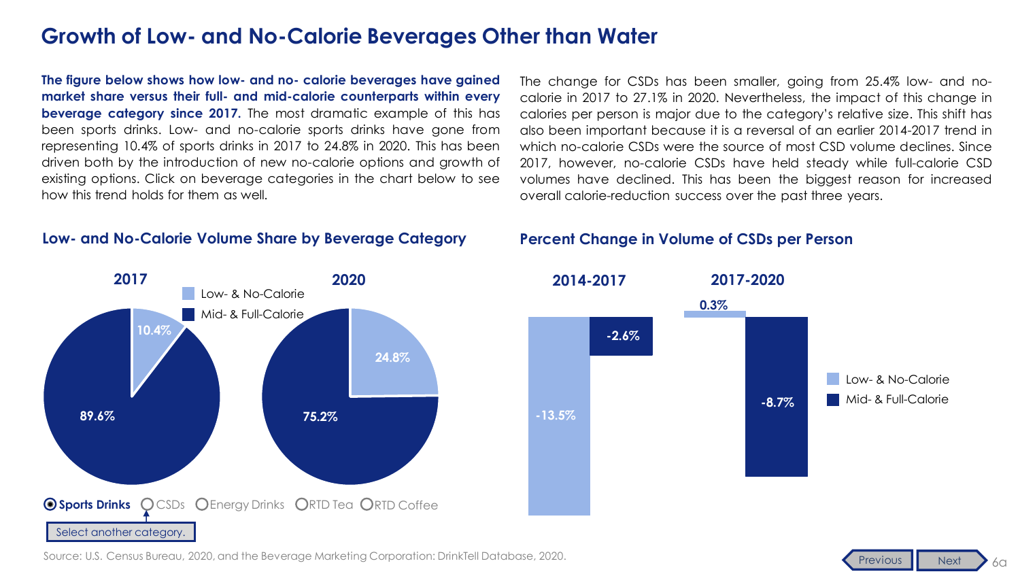<span id="page-6-0"></span>**The figure below shows how low- and no- calorie beverages have gained market share versus their full- and mid-calorie counterparts within every beverage category since 2017.** The most dramatic example of this has been sports drinks. Low- and no-calorie sports drinks have gone from representing 10.4% of sports drinks in 2017 to 24.8% in 2020. This has been driven both by the introduction of new no-calorie options and growth of existing options. Click on beverage categories in the chart below to see how this trend holds for them as well.

#### **Low- and No-Calorie Volume Share by Beverage Category**

The change for CSDs has been smaller, going from 25.4% low- and nocalorie in 2017 to 27.1% in 2020. Nevertheless, the impact of this change in calories per person is major due to the category's relative size. This shift has also been important because it is a reversal of an earlier 2014-2017 trend in which no-calorie CSDs were the source of most CSD volume declines. Since 2017, however, no-calorie CSDs have held steady while full-calorie CSD volumes have declined. This has been the biggest reason for increased overall calorie-reduction success over the past three years.

#### **Percent Change in Volume of CSDs per Person**





Source: U.S. Census Bureau, 2020, and the Beverage Marketing Corporation: DrinkTell Database, 2020.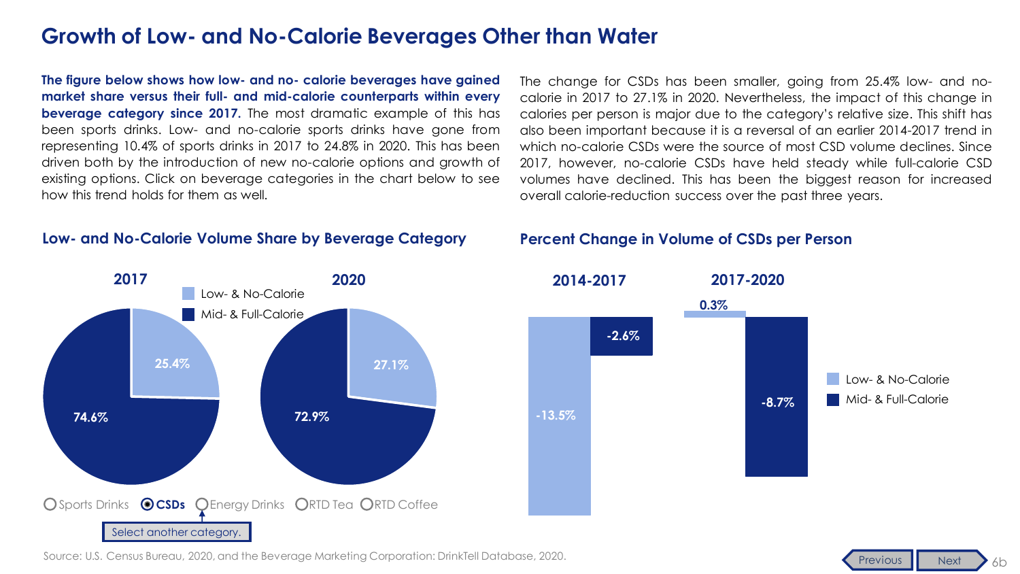<span id="page-7-0"></span>**The figure below shows how low- and no- calorie beverages have gained market share versus their full- and mid-calorie counterparts within every beverage category since 2017.** The most dramatic example of this has been sports drinks. Low- and no-calorie sports drinks have gone from representing 10.4% of sports drinks in 2017 to 24.8% in 2020. This has been driven both by the introduction of new no-calorie options and growth of existing options. Click on beverage categories in the chart below to see how this trend holds for them as well.

#### **Low- and No-Calorie Volume Share by Beverage Category**

The change for CSDs has been smaller, going from 25.4% low- and nocalorie in 2017 to 27.1% in 2020. Nevertheless, the impact of this change in calories per person is major due to the category's relative size. This shift has also been important because it is a reversal of an earlier 2014-2017 trend in which no-calorie CSDs were the source of most CSD volume declines. Since 2017, however, no-calorie CSDs have held steady while full-calorie CSD volumes have declined. This has been the biggest reason for increased overall calorie-reduction success over the past three years.

#### **Percent Change in Volume of CSDs per Person**





Source: U.S. Census Bureau, 2020, and the Beverage Marketing Corporation: DrinkTell Database, 2020.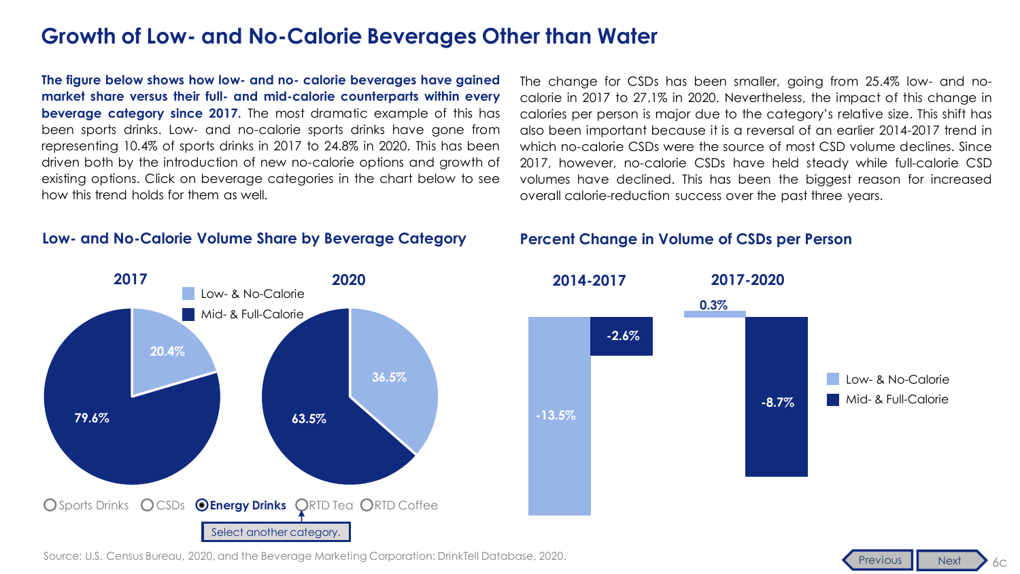<span id="page-8-0"></span>**The figure below shows how low- and no- calorie beverages have gained market share versus their full- and mid-calorie counterparts within every beverage category since 2017.** The most dramatic example of this has been sports drinks. Low- and no-calorie sports drinks have gone from representing 10.4% of sports drinks in 2017 to 24.8% in 2020. This has been driven both by the introduction of new no-calorie options and growth of existing options. Click on beverage categories in the chart below to see how this trend holds for them as well.

#### **Low- and No-Calorie Volume Share by Beverage Category**

The change for CSDs has been smaller, going from 25.4% low- and nocalorie in 2017 to 27.1% in 2020. Nevertheless, the impact of this change in calories per person is major due to the category's relative size. This shift has also been important because it is a reversal of an earlier 2014-2017 trend in which no-calorie CSDs were the source of most CSD volume declines. Since 2017, however, no-calorie CSDs have held steady while full-calorie CSD volumes have declined. This has been the biggest reason for increased overall calorie-reduction success over the past three years.

#### **Percent Change in Volume of CSDs per Person**





Source: U.S. Census Bureau, 2020, and the Beverage Marketing Corporation: DrinkTell Database, 2020.

6c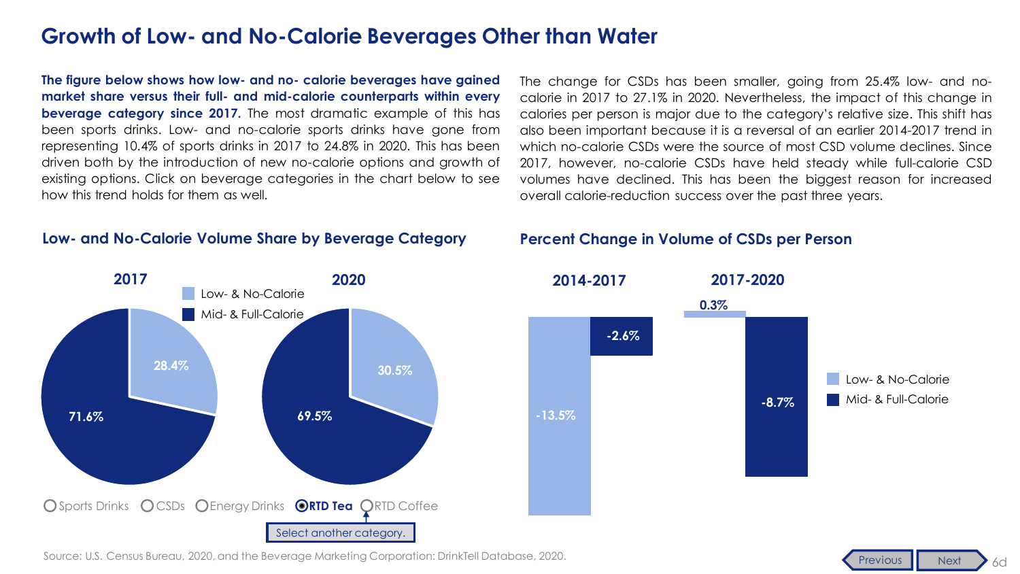<span id="page-9-0"></span>**The figure below shows how low- and no- calorie beverages have gained market share versus their full- and mid-calorie counterparts within every beverage category since 2017.** The most dramatic example of this has been sports drinks. Low- and no-calorie sports drinks have gone from representing 10.4% of sports drinks in 2017 to 24.8% in 2020. This has been driven both by the introduction of new no-calorie options and growth of existing options. Click on beverage categories in the chart below to see how this trend holds for them as well.

#### **Low- and No-Calorie Volume Share by Beverage Category**

The change for CSDs has been smaller, going from 25.4% low- and nocalorie in 2017 to 27.1% in 2020. Nevertheless, the impact of this change in calories per person is major due to the category's relative size. This shift has also been important because it is a reversal of an earlier 2014-2017 trend in which no-calorie CSDs were the source of most CSD volume declines. Since 2017, however, no-calorie CSDs have held steady while full-calorie CSD volumes have declined. This has been the biggest reason for increased overall calorie-reduction success over the past three years.

#### **Percent Change in Volume of CSDs per Person**





Source: U.S. Census Bureau, 2020, and the Beverage Marketing Corporation: DrinkTell Database, 2020.

6d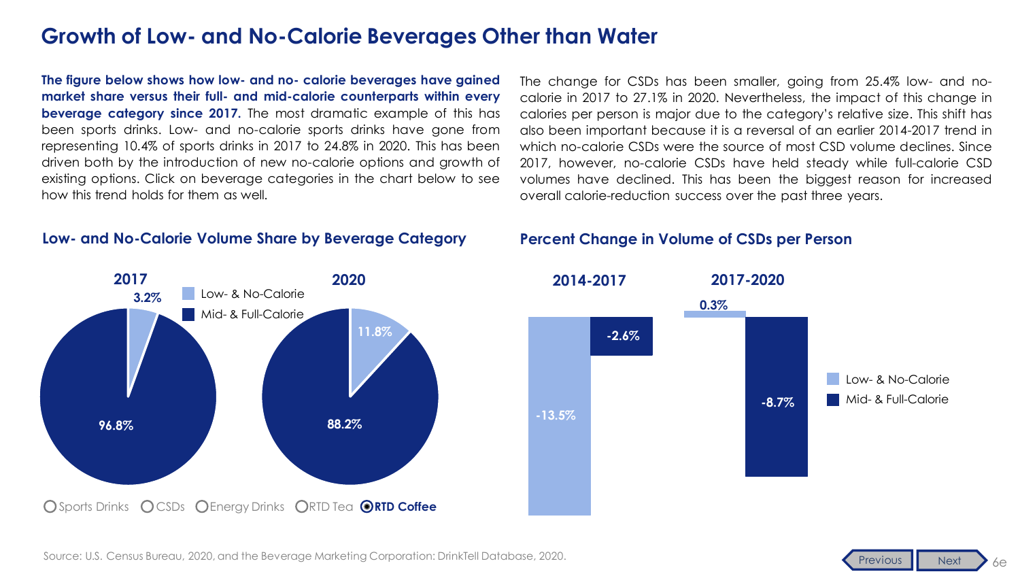<span id="page-10-0"></span>**The figure below shows how low- and no- calorie beverages have gained market share versus their full- and mid-calorie counterparts within every beverage category since 2017.** The most dramatic example of this has been sports drinks. Low- and no-calorie sports drinks have gone from representing 10.4% of sports drinks in 2017 to 24.8% in 2020. This has been driven both by the introduction of new no-calorie options and growth of existing options. Click on beverage categories in the chart below to see how this trend holds for them as well.

#### **Low- and No-Calorie Volume Share by Beverage Category**

The change for CSDs has been smaller, going from 25.4% low- and nocalorie in 2017 to 27.1% in 2020. Nevertheless, the impact of this change in calories per person is major due to the category's relative size. This shift has also been important because it is a reversal of an earlier 2014-2017 trend in which no-calorie CSDs were the source of most CSD volume declines. Since 2017, however, no-calorie CSDs have held steady while full-calorie CSD volumes have declined. This has been the biggest reason for increased overall calorie-reduction success over the past three years.

#### **Percent Change in Volume of CSDs per Person**





6e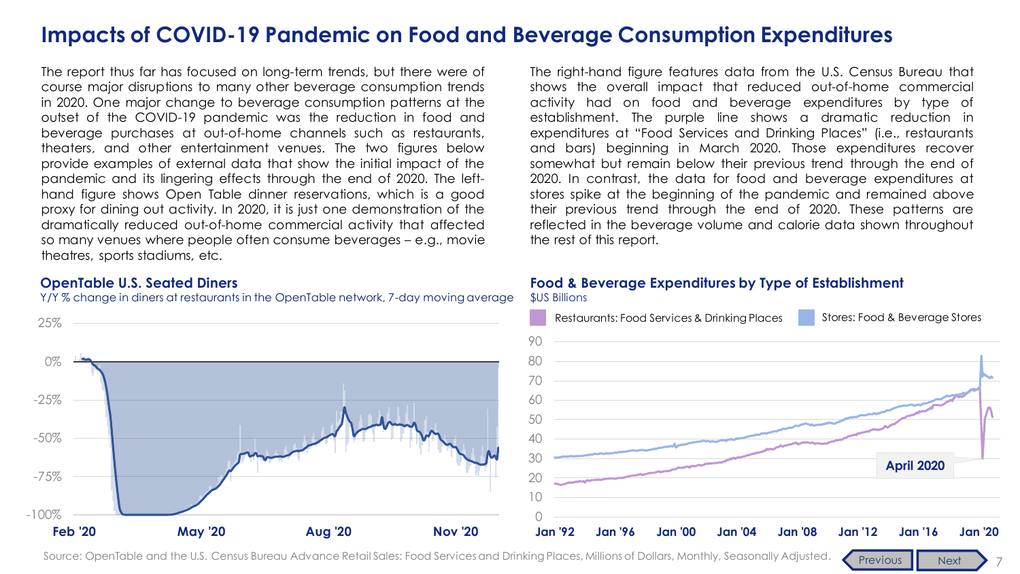### <span id="page-11-0"></span>**Impacts of COVID-19 Pandemic on Food and Beverage Consumption Expenditures**

The report thus far has focused on long-term trends, but there were of course major disruptions to many other beverage consumption trends in 2020. One major change to beverage consumption patterns at the outset of the COVID-19 pandemic was the reduction in food and beverage purchases at out-of-home channels such as restaurants, theaters, and other entertainment venues. The two figures below provide examples of external data that show the initial impact of the pandemic and its lingering effects through the end of 2020. The lefthand figure shows Open Table dinner reservations, which is a good proxy for dining out activity. In 2020, it is just one demonstration of the dramatically reduced out-of-home commercial activity that affected so many venues where people often consume beverages – e.g., movie theatres, sports stadiums, etc.

#### **OpenTable U.S. Seated Diners**

Y/Y % change in diners at restaurants in the OpenTable network, 7-day moving average



The right-hand figure features data from the U.S. Census Bureau that shows the overall impact that reduced out-of-home commercial activity had on food and beverage expenditures by type of establishment. The purple line shows a dramatic reduction in expenditures at "Food Services and Drinking Places" (i.e., restaurants and bars) beginning in March 2020. Those expenditures recover somewhat but remain below their previous trend through the end of 2020. In contrast, the data for food and beverage expenditures at stores spike at the beginning of the pandemic and remained above their previous trend through the end of 2020. These patterns are reflected in the beverage volume and calorie data shown throughout the rest of this report.

### **Food & Beverage Expenditures by Type of Establishment**

\$US Billions



7

Source: OpenTable and the U.S. Census Bureau Advance Retail Sales: Food Services and Drinking Places, Millions of Dollars, Monthly, Seasonally Adjusted. [Previous](#page-6-0) Rext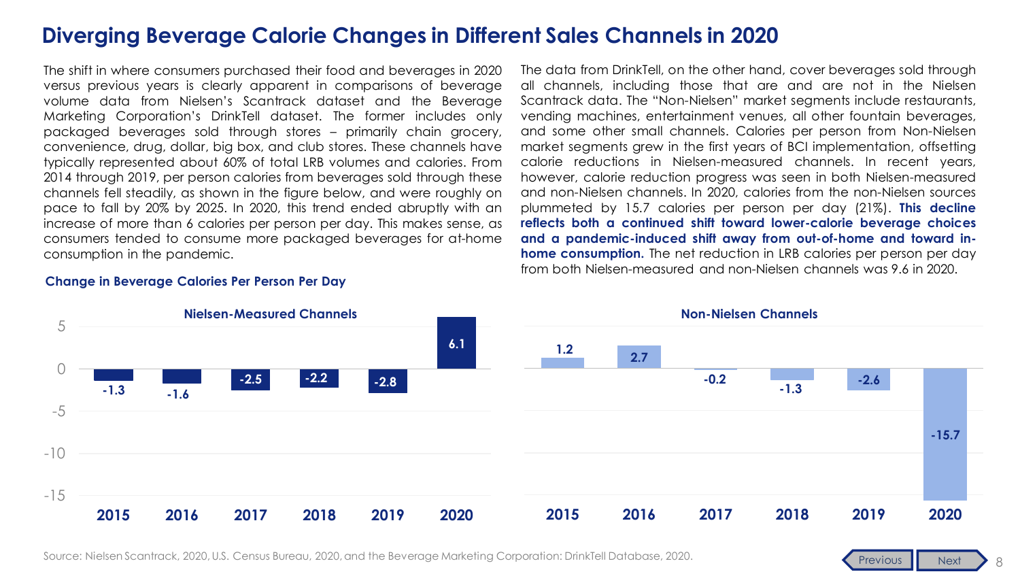### <span id="page-12-0"></span>**Diverging Beverage Calorie Changes in Different Sales Channels in 2020**

The shift in where consumers purchased their food and beverages in 2020 versus previous years is clearly apparent in comparisons of beverage volume data from Nielsen's Scantrack dataset and the Beverage Marketing Corporation's DrinkTell dataset. The former includes only packaged beverages sold through stores – primarily chain grocery, convenience, drug, dollar, big box, and club stores. These channels have typically represented about 60% of total LRB volumes and calories. From 2014 through 2019, per person calories from beverages sold through these channels fell steadily, as shown in the figure below, and were roughly on pace to fall by 20% by 2025. In 2020, this trend ended abruptly with an increase of more than 6 calories per person per day. This makes sense, as consumers tended to consume more packaged beverages for at-home consumption in the pandemic.

The data from DrinkTell, on the other hand, cover beverages sold through all channels, including those that are and are not in the Nielsen Scantrack data. The "Non-Nielsen" market segments include restaurants, vending machines, entertainment venues, all other fountain beverages, and some other small channels. Calories per person from Non-Nielsen market segments grew in the first years of BCI implementation, offsetting calorie reductions in Nielsen-measured channels. In recent years, however, calorie reduction progress was seen in both Nielsen-measured and non-Nielsen channels. In 2020, calories from the non-Nielsen sources plummeted by 15.7 calories per person per day (21%). **This decline reflects both a continued shift toward lower-calorie beverage choices and a pandemic-induced shift away from out-of-home and toward inhome consumption.** The net reduction in LRB calories per person per day from both Nielsen-measured and non-Nielsen channels was 9.6 in 2020.



#### **Change in Beverage Calories Per Person Per Day**

Source: Nielsen Scantrack, 2020, U.S. Census Bureau, 2020, and the Beverage Marketing Corporation: DrinkTell Database, 2020.

8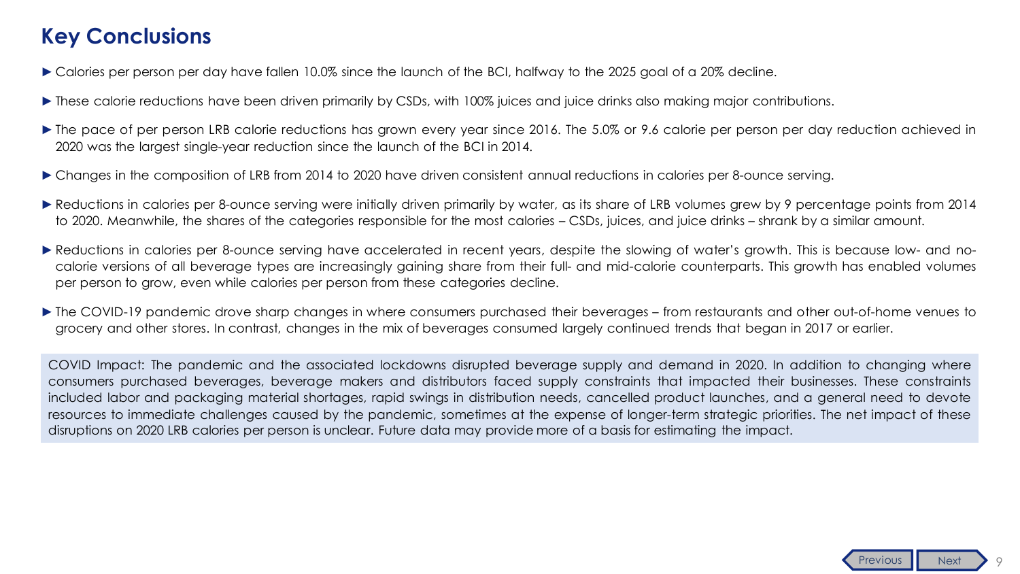### <span id="page-13-0"></span>**Key Conclusions**

- ► Calories per person per day have fallen 10.0% since the launch of the BCI, halfway to the 2025 goal of a 20% decline.
- ► These calorie reductions have been driven primarily by CSDs, with 100% juices and juice drinks also making major contributions.
- ►The pace of per person LRB calorie reductions has grown every year since 2016. The 5.0% or 9.6 calorie per person per day reduction achieved in 2020 was the largest single-year reduction since the launch of the BCI in 2014.
- ►Changes in the composition of LRB from 2014 to 2020 have driven consistent annual reductions in calories per 8-ounce serving.
- ► Reductions in calories per 8-ounce serving were initially driven primarily by water, as its share of LRB volumes grew by 9 percentage points from 2014 to 2020. Meanwhile, the shares of the categories responsible for the most calories – CSDs, juices, and juice drinks – shrank by a similar amount.
- ► Reductions in calories per 8-ounce serving have accelerated in recent years, despite the slowing of water's growth. This is because low- and nocalorie versions of all beverage types are increasingly gaining share from their full- and mid-calorie counterparts. This growth has enabled volumes per person to grow, even while calories per person from these categories decline.
- ►The COVID-19 pandemic drove sharp changes in where consumers purchased their beverages from restaurants and other out-of-home venues to grocery and other stores. In contrast, changes in the mix of beverages consumed largely continued trends that began in 2017 or earlier.

COVID Impact: The pandemic and the associated lockdowns disrupted beverage supply and demand in 2020. In addition to changing where consumers purchased beverages, beverage makers and distributors faced supply constraints that impacted their businesses. These constraints included labor and packaging material shortages, rapid swings in distribution needs, cancelled product launches, and a general need to devote resources to immediate challenges caused by the pandemic, sometimes at the expense of longer-term strategic priorities. The net impact of these disruptions on 2020 LRB calories per person is unclear. Future data may provide more of a basis for estimating the impact.

9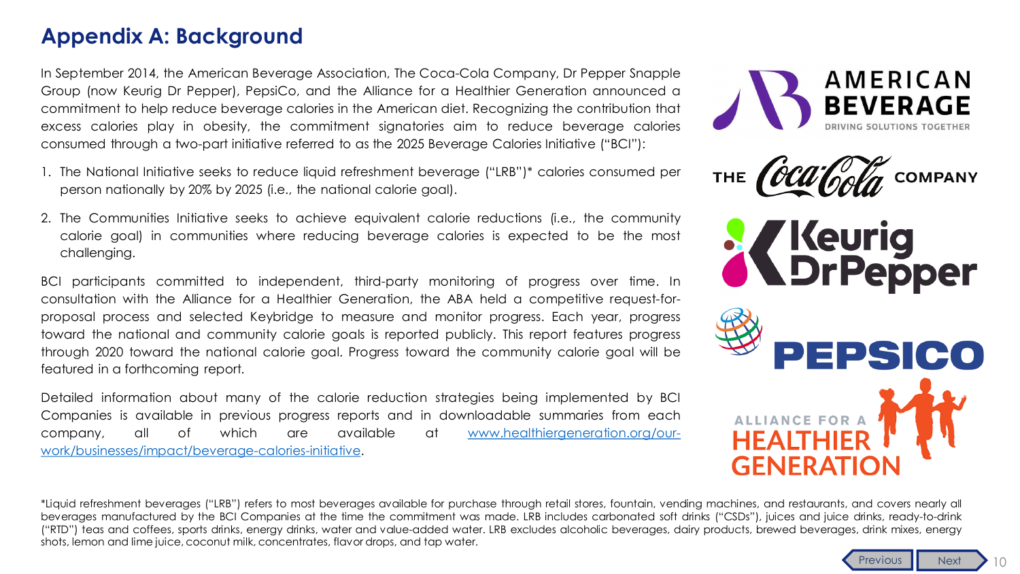### <span id="page-14-0"></span>**Appendix A: Background**

In September 2014, the American Beverage Association, The Coca-Cola Company, Dr Pepper Snapple Group (now Keurig Dr Pepper), PepsiCo, and the Alliance for a Healthier Generation announced a commitment to help reduce beverage calories in the American diet. Recognizing the contribution that excess calories play in obesity, the commitment signatories aim to reduce beverage calories consumed through a two-part initiative referred to as the 2025 Beverage Calories Initiative ("BCI"):

- 1. The National Initiative seeks to reduce liquid refreshment beverage ("LRB")\* calories consumed per person nationally by 20% by 2025 (i.e., the national calorie goal).
- 2. The Communities Initiative seeks to achieve equivalent calorie reductions (i.e., the community calorie goal) in communities where reducing beverage calories is expected to be the most challenging.

BCI participants committed to independent, third-party monitoring of progress over time. In consultation with the Alliance for a Healthier Generation, the ABA held a competitive request-forproposal process and selected Keybridge to measure and monitor progress. Each year, progress toward the national and community calorie goals is reported publicly. This report features progress through 2020 toward the national calorie goal. Progress toward the community calorie goal will be featured in a forthcoming report.

Detailed information about many of the calorie reduction strategies being implemented by BCI Companies is available in previous progress reports and in downloadable summaries from each company, all of which are available at www.healthiergeneration.org/our[work/businesses/impact/beverage-calories-initiative.](https://www.healthiergeneration.org/our-work/businesses/impact/beverage-calories-initiative)







\*Liquid refreshment beverages ("LRB") refers to most beverages available for purchase through retail stores, fountain, vending machines, and restaurants, and covers nearly all beverages manufactured by the BCI Companies at the time the commitment was made. LRB includes carbonated soft drinks ("CSDs"), juices and juice drinks, ready-to-drink ("RTD") teas and coffees, sports drinks, energy drinks, water and value-added water. LRB excludes alcoholic beverages, dairy products, brewed beverages, drink mixes, energy shots, lemon and lime juice, coconut milk, concentrates, flavor drops, and tap water.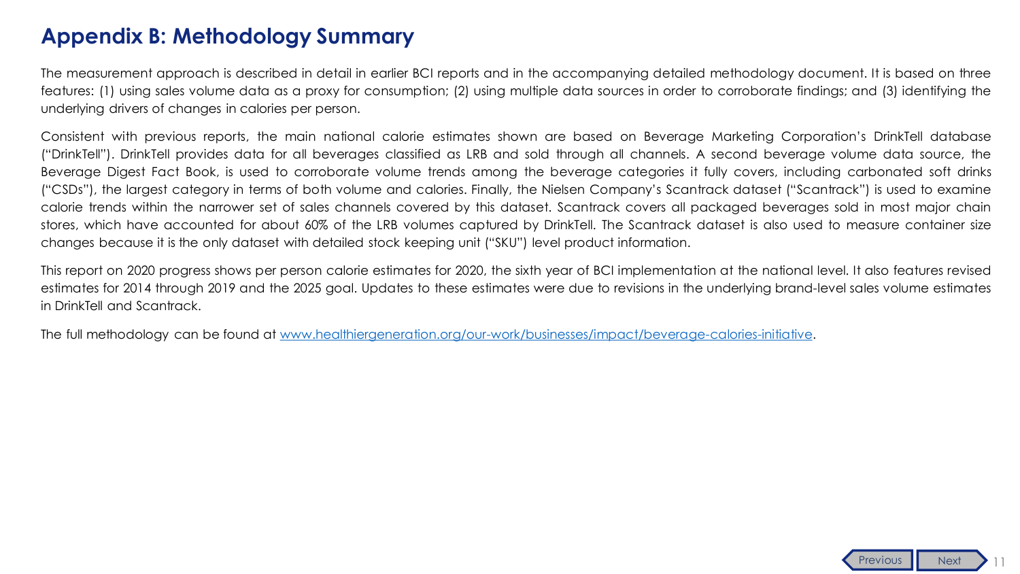### <span id="page-15-0"></span>**Appendix B: Methodology Summary**

The measurement approach is described in detail in earlier BCI reports and in the accompanying detailed methodology document. It is based on three features: (1) using sales volume data as a proxy for consumption; (2) using multiple data sources in order to corroborate findings; and (3) identifying the underlying drivers of changes in calories per person.

Consistent with previous reports, the main national calorie estimates shown are based on Beverage Marketing Corporation's DrinkTell database ("DrinkTell"). DrinkTell provides data for all beverages classified as LRB and sold through all channels. A second beverage volume data source, the Beverage Digest Fact Book, is used to corroborate volume trends among the beverage categories it fully covers, including carbonated soft drinks ("CSDs"), the largest category in terms of both volume and calories. Finally, the Nielsen Company's Scantrack dataset ("Scantrack") is used to examine calorie trends within the narrower set of sales channels covered by this dataset. Scantrack covers all packaged beverages sold in most major chain stores, which have accounted for about 60% of the LRB volumes captured by DrinkTell. The Scantrack dataset is also used to measure container size changes because it is the only dataset with detailed stock keeping unit ("SKU") level product information.

This report on 2020 progress shows per person calorie estimates for 2020, the sixth year of BCI implementation at the national level. It also features revised estimates for 2014 through 2019 and the 2025 goal. Updates to these estimates were due to revisions in the underlying brand-level sales volume estimates in DrinkTell and Scantrack.

The full methodology can be found at [www.healthiergeneration.org/our-work/businesses/impact/beverage-calories-initiative.](https://www.healthiergeneration.org/our-work/businesses/impact/beverage-calories-initiative)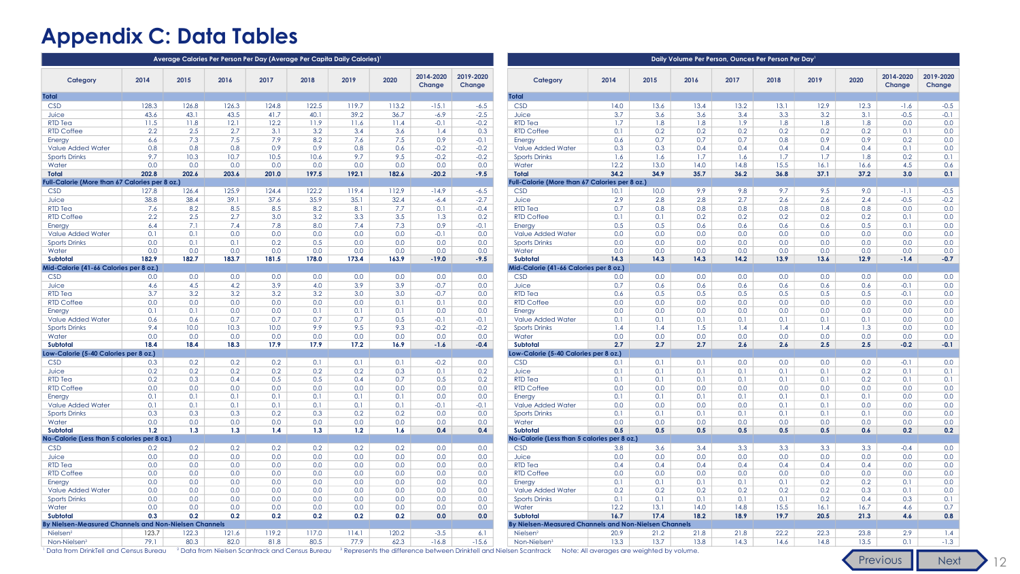### <span id="page-16-0"></span>**Appendix C: Data Tables**

| Average Calories Per Person Per Day (Average Per Capita Daily Calories) |            |                   |            |            |            |            |                         |                     |                     | Daily Volume Per Person, Ounces Per Person Per Day        |            |            |            |            |            |            |                  |                     |                     |  |  |
|-------------------------------------------------------------------------|------------|-------------------|------------|------------|------------|------------|-------------------------|---------------------|---------------------|-----------------------------------------------------------|------------|------------|------------|------------|------------|------------|------------------|---------------------|---------------------|--|--|
| Category                                                                | 2014       | 2015              | 2016       | 2017       | 2018       | 2019       | 2020                    | 2014-2020<br>Change | 2019-2020<br>Change | Category                                                  | 2014       | 2015       | 2016       | 2017       | 2018       | 2019       | 2020             | 2014-2020<br>Change | 2019-2020<br>Change |  |  |
| <b>Total</b>                                                            |            |                   |            |            |            |            |                         |                     |                     | <b>Total</b>                                              |            |            |            |            |            |            |                  |                     |                     |  |  |
| <b>CSD</b>                                                              | 128.3      | 126.8             | 126.3      | 124.8      | 122.5      | 119.7      | 113.2                   | $-15.1$             | $-6.5$              | <b>CSD</b>                                                | 14.0       | 13.6       | 13.4       | 13.2       | 13.1       | 12.9       | 12.3             | $-1.6$              | $-0.5$              |  |  |
| Juice                                                                   | 43.6       | 43.1              | 43.5       | 41.7       | 40.1       | 39.2       | 36.7                    | $-6.9$              | $-2.5$              | Juice                                                     | 3.7        | 3.6        | 3.6        | 3.4        | 3.3        | 3.2        | 3.1              | $-0.5$              | $-0.1$              |  |  |
| <b>RTD Tea</b>                                                          | 11.5       | 11.8              | 12.1       | 12.2       | 11.9       | 11.6       | 11.4                    | $-0.1$              | $-0.2$              | <b>RTD Tea</b>                                            | 1.7        | 1.8        | 1.8        | 1.9        | 1.8        | 1.8        | 1.8              | 0.0                 | 0.0                 |  |  |
| <b>RTD Coffee</b>                                                       | 2.2        | 2.5               | 2.7        | 3.1        | 3.2        | 3.4        | 3.6                     | 1.4                 | 0.3                 | <b>RTD Coffee</b>                                         | 0.1        | 0.2        | 0.2        | 0.2        | 0.2        | 0.2        | 0.2              | 0.1                 | 0.0                 |  |  |
| Energy                                                                  | 6.6        | 7.3               | 7.5        | 7.9        | 8.2        | 7.6        | 7.5                     | 0.9                 | $-0.1$              | Energy                                                    | 0.6        | 0.7        | 0.7        | 0.7        | 0.8        | 0.9        | 0.9              | 0.2                 | 0.0                 |  |  |
| Value Added Water                                                       | 0.8        | 0.8               | 0.8        | 0.9        | 0.9        | 0.8        | 0.6                     | $-0.2$              | $-0.2$              | <b>Value Added Water</b>                                  | 0.3        | 0.3        | 0.4        | 0.4        | 0.4        | 0.4        | 0.4              | 0.1                 | 0.0                 |  |  |
| <b>Sports Drinks</b>                                                    | 9.7        | 10.3              | 10.7       | 10.5       | 10.6       | 9.7        | 9.5                     | $-0.2$              | $-0.2$              | <b>Sports Drinks</b>                                      | 1.6        | 1.6        | 1.7        | 1.6        | 1.7        | 1.7        | 1.8              | 0.2                 | 0.1                 |  |  |
| Water                                                                   | 0.0        | 0.0               | 0.0        | 0.0        | 0.0        | 0.0        | 0.0                     | 0.0                 | 0.0                 | Water                                                     | 12.2       | 13.0       | 14.0       | 14.8       | 15.5       | 16.1       | 16.6             | 4.5                 | 0.6                 |  |  |
| <b>Total</b>                                                            | 202.8      | 202.6             | 203.6      | 201.0      | 197.5      | 192.1      | 182.6                   | $-20.2$             | $-9.5$              | <b>Total</b>                                              | 34.2       | 34.9       | 35.7       | 36.2       | 36.8       | 37.1       | 37.2             | 3.0                 | 0.1                 |  |  |
| Full-Calorie (More than 67 Calories per 8 oz.)                          |            |                   |            |            |            |            |                         |                     |                     | Full-Calorie (More than 67 Calories per 8 oz.)            |            |            |            |            |            |            |                  |                     |                     |  |  |
| <b>CSD</b>                                                              | 127.8      | 126.4             | 125.9      | 124.4      | 122.2      | 119.4      | 112.9                   | $-14.9$             | $-6.5$              | <b>CSD</b>                                                | 10.1       | 10.0       | 9.9        | 9.8        | 9.7        | 9.5        | 9.0              | $-1.1$              | $-0.5$              |  |  |
| Juice                                                                   | 38.8       | 38.4              | 39.1       | 37.6       | 35.9       | 35.1       | 32.4                    | $-6.4$              | $-2.7$              | Juice                                                     | 2.9        | 2.8        | 2.8        | 2.7        | 2.6        | 2.6        | 2.4              | $-0.5$              | $-0.2$              |  |  |
| RTD Tea                                                                 | 7.6        | 8.2               | 8.5        | 8.5        | 8.2        | 8.1        | 7.7                     | 0.1                 | $-0.4$              | <b>RTD Tea</b>                                            | 0.7        | 0.8        | 0.8        | 0.8        | 0.8        | 0.8        | 0.8              | 0.0                 | 0.0                 |  |  |
| <b>RTD Coffee</b>                                                       | 2.2        | 2.5               | 2.7        | 3.0        | 3.2        | 3.3        | 3.5                     | 1.3                 | 0.2                 | <b>RTD Coffee</b>                                         | 0.1        | 0.1        | 0.2        | 0.2        | 0.2        | 0.2        | 0.2              | 0.1                 | 0.0                 |  |  |
| Energy                                                                  | 6.4        | 7.1               | 7.4        | 7.8        | 8.0        | 7.4        | 7.3                     | 0.9                 | $-0.1$              | Energy                                                    | 0.5        | 0.5        | 0.6        | 0.6        | 0.6        | 0.6        | 0.5              | 0.1                 | 0.0                 |  |  |
| Value Added Water                                                       | 0.1        | 0.1               | 0.0        | 0.0        | 0.0        | 0.0        | 0.0                     | $-0.1$              | 0.0                 | Value Added Water                                         | 0.0        | 0.0        | 0.0        | 0.0        | 0.0        | 0.0        | 0.0              | 0.0                 | 0.0                 |  |  |
| <b>Sports Drinks</b>                                                    | 0.0        | 0.1               | 0.1        | 0.2        | 0.5        | 0.0        | 0.0                     | 0.0                 | 0.0                 | <b>Sports Drinks</b>                                      | 0.0        | 0.0        | 0.0        | 0.0        | 0.0        | 0.0        | 0.0              | 0.0                 | 0.0                 |  |  |
| Water                                                                   | 0.0        | 0.0               | 0.0        | 0.0        | 0.0        | 0.0        | 0.0                     | 0.0                 | 0.0                 | Water                                                     | 0.0        | 0.0        | 0.0        | 0.0        | 0.0        | 0.0        | 0.0              | 0.0                 | 0.0                 |  |  |
| Subtotal<br>Mid-Calorie (41-66 Calories per 8 oz.)                      | 182.9      | 182.7             | 183.7      | 181.5      | 178.0      | 173.4      | 163.9                   | $-19.0$             | $-9.5$              | <b>Subtotal</b><br>Mid-Calorie (41-66 Calories per 8 oz.) | 14.3       | 14.3       | 14.3       | 14.2       | 13.9       | 13.6       | 12.9             | $-1.4$              | $-0.7$              |  |  |
|                                                                         |            |                   |            |            |            |            |                         |                     |                     |                                                           |            |            |            |            |            |            |                  |                     |                     |  |  |
| <b>CSD</b>                                                              | 0.0        | 0.0               | 0.0        | 0.0        | 0.0        | 0.0        | 0.0                     | 0.0                 | 0.0                 | <b>CSD</b>                                                | 0.0        | 0.0        | 0.0        | 0.0        | 0.0        | 0.0        | 0.0              | 0.0                 | 0.0                 |  |  |
| Juice<br><b>RTD Tea</b>                                                 | 4.6<br>3.7 | 4.5<br>3.2        | 4.2<br>3.2 | 3.9<br>3.2 | 4.0<br>3.2 | 3.9<br>3.0 | 3.9 <sup>°</sup><br>3.0 | $-0.7$<br>$-0.7$    | 0.0<br>0.0          | Juice<br><b>RTD Tea</b>                                   | 0.7<br>0.6 | 0.6<br>0.5 | 0.6<br>0.5 | 0.6<br>0.5 | 0.6<br>0.5 | 0.6<br>0.5 | 0.6<br>0.5       | $-0.1$<br>$-0.1$    | 0.0<br>0.0          |  |  |
| <b>RTD Coffee</b>                                                       | 0.0        | 0.0               | 0.0        | 0.0        | 0.0        | 0.0        | 0.1                     | 0.1                 | 0.0                 | <b>RTD Coffee</b>                                         | 0.0        | 0.0        | 0.0        | 0.0        | 0.0        | 0.0        | 0.0              | 0.0                 | 0.0                 |  |  |
|                                                                         | 0.1        | 0.1               | 0.0        | 0.0        | 0.1        | 0.1        | 0.1                     | 0.0                 | 0.0                 |                                                           | 0.0        | 0.0        | 0.0        | 0.0        | 0.0        | 0.0        | 0.0              | 0.0                 | 0.0                 |  |  |
| Energy<br>Value Added Water                                             | 0.6        | 0.6               | 0.7        | 0.7        | 0.7        | 0.7        | 0.5                     | $-0.1$              | $-0.1$              | Energy<br><b>Value Added Water</b>                        | 0.1        | 0.1        | 0.1        | 0.1        | 0.1        | 0.1        | 0.1              | 0.0                 | 0.0                 |  |  |
| <b>Sports Drinks</b>                                                    | 9.4        | 10.0 <sub>1</sub> | 10.3       | 10.0       | 9.9        | 9.5        | 9.3                     | $-0.2$              | $-0.2$              | <b>Sports Drinks</b>                                      | 1.4        | 1.4        | 1.5        | 1.4        | 1.4        | 1.4        | 1.3              | 0.0                 | 0.0                 |  |  |
| Water                                                                   | 0.0        | 0.0               | 0.0        | 0.0        | 0.0        | 0.0        | 0.0                     | 0.0                 | 0.0                 | Water                                                     | 0.0        | 0.0        | 0.0        | 0.0        | 0.0        | 0.0        | 0.0              | 0.0                 | 0.0                 |  |  |
| Subtotal                                                                | 18.4       | 18.4              | 18.3       | 17.9       | 17.9       | 17.2       | 16.9                    | $-1.6$              | $-0.4$              | Subtotal                                                  | 2.7        | 2.7        | 2.7        | 2.6        | 2.6        | 2.5        | 2.5              | $-0.2$              | $-0.1$              |  |  |
| Low-Calorie (5-40 Calories per 8 oz.)                                   |            |                   |            |            |            |            |                         |                     |                     | Low-Calorie (5-40 Calories per 8 oz.)                     |            |            |            |            |            |            |                  |                     |                     |  |  |
| <b>CSD</b>                                                              | 0.3        | 0.2               | 0.2        | 0.2        | 0.1        | 0.1        | 0.1                     | $-0.2$              | 0.0                 | <b>CSD</b>                                                | 0.1        | 0.1        | 0.1        | 0.0        | 0.0        | 0.0        | 0.0 <sub>1</sub> | $-0.1$              | 0.0                 |  |  |
| Juice                                                                   | 0.2        | 0.2               | 0.2        | 0.2        | 0.2        | 0.2        | 0.3                     | 0.1                 | 0.2                 | Juice                                                     | 0.1        | 0.1        | 0.1        | 0.1        | 0.1        | 0.1        | 0.2              | 0.1                 | 0.1                 |  |  |
| <b>RTD Tea</b>                                                          | 0.2        | 0.3               | 0.4        | 0.5        | 0.5        | 0.4        | 0.7                     | 0.5                 | 0.2                 | <b>RTD Tea</b>                                            | 0.1        | 0.1        | 0.1        | 0.1        | 0.1        | 0.1        | 0.2              | 0.1                 | 0.1                 |  |  |
| <b>RTD Coffee</b>                                                       | 0.0        | 0.0               | 0.0        | 0.0        | 0.0        | 0.0        | 0.0                     | 0.0                 | 0.0                 | RTD Coffee                                                | 0.0        | 0.0        | 0.0        | 0.0        | 0.0        | 0.0        | 0.0              | 0.0                 | 0.0                 |  |  |
| <b>Energy</b>                                                           | 0.1        | 0.1               | 0.1        | 0.1        | 0.1        | 0.1        | 0.1                     | 0.0                 | 0.0                 | Energy                                                    | 0.1        | 0.1        | 0.1        | 0.1        | 0.1        | 0.1        | 0.1              | 0.0                 | 0.0                 |  |  |
| Value Added Water                                                       | 0.1        | 0.1               | 0.1        | 0.1        | 0.1        | 0.1        | 0.1                     | $-0.1$              | $-0.1$              | <b>Value Added Water</b>                                  | 0.0        | 0.0        | 0.0        | 0.0        | 0.1        | 0.1        | 0.0              | 0.0                 | 0.0                 |  |  |
| <b>Sports Drinks</b>                                                    | 0.3        | 0.3               | 0.3        | 0.2        | 0.3        | 0.2        | 0.2                     | 0.0                 | 0.0                 | <b>Sports Drinks</b>                                      | 0.1        | 0.1        | 0.1        | 0.1        | 0.1        | 0.1        | 0.1              | 0.0                 | 0.0                 |  |  |
| Water                                                                   | 0.0        | 0.0               | 0.0        | 0.0        | 0.0        | 0.0        | 0.0                     | 0.0                 | 0.0                 | Water                                                     | 0.0        | 0.0        | 0.0        | 0.0        | 0.0        | 0.0        | 0.0              | 0.0                 | 0.0                 |  |  |
| Subtotal                                                                | 1.2        | 1.3               | 1.3        | 1.4        | 1.3        | 1.2        | 1.6                     | 0.4                 | 0.4                 | Subtotal                                                  | 0.5        | 0.5        | 0.5        | 0.5        | 0.5        | 0.5        | 0.6              | 0.2                 | 0.2                 |  |  |
| No-Calorie (Less than 5 calories per 8 oz.)                             |            |                   |            |            |            |            |                         |                     |                     | Vo-Calorie (Less than 5 calories per 8 oz.)               |            |            |            |            |            |            |                  |                     |                     |  |  |
| <b>CSD</b>                                                              | 0.2        | 0.2               | 0.2        | 0.2        | 0.2        | 0.2        | 0.2                     | 0.0                 | 0.0                 | <b>CSD</b>                                                | 3.8        | 3.6        | 3.4        | 3.3        | 3.3        | 3.3        | 3.3              | $-0.4$              | 0.0                 |  |  |
| Juice                                                                   | 0.0        | 0.0               | 0.0        | 0.0        | 0.0        | 0.0        | 0.0                     | 0.0                 | 0.0                 | Juice                                                     | 0.0        | 0.0        | 0.0        | 0.0        | 0.0        | 0.0        | 0.0              | 0.0                 | 0.0                 |  |  |
| <b>RTD Tea</b>                                                          | 0.0        | 0.0               | 0.0        | 0.0        | 0.0        | 0.0        | 0.0                     | 0.0                 | 0.0                 | <b>RTD Ted</b>                                            | 0.4        | 0.4        | 0.4        | 0.4        | 0.4        | 0.4        | 0.4              | 0.0                 | 0.0                 |  |  |
| <b>RTD Coffee</b>                                                       | 0.0        | 0.0               | 0.0        | 0.0        | 0.0        | 0.0        | 0.0                     | 0.0                 | 0.0                 | <b>RTD Coffee</b>                                         | 0.0        | 0.0        | 0.0        | 0.0        | 0.0        | 0.0        | 0.0              | 0.0                 | 0.0                 |  |  |
| Energy                                                                  | 0.0        | 0.0               | 0.0        | 0.0        | 0.0        | 0.0        | 0.0                     | 0.0                 | 0.0                 | Energy                                                    | 0.1        | 0.1        | 0.1        | 0.1        | 0.1        | 0.2        | 0.2              | 0.1                 | 0.0                 |  |  |
| Value Added Water                                                       | 0.0        | 0.0               | 0.0        | 0.0        | 0.0        | 0.0        | 0.0                     | 0.0                 | 0.0                 | Value Added Water                                         | 0.2        | 0.2        | 0.2        | 0.2        | 0.2        | 0.2        | 0.3              | 0.1                 | 0.0                 |  |  |
| <b>Sports Drinks</b>                                                    | 0.0        | 0.0               | 0.0        | 0.0        | 0.0        | 0.0        | 0.0                     | 0.0                 | 0.0                 | <b>Sports Drinks</b>                                      | 0.1        | 0.1        | 0.1        | 0.1        | 0.1        | 0.2        | 0.4              | 0.3                 | 0.1                 |  |  |
| Water                                                                   | 0.0        | 0.0               | 0.0        | 0.0        | 0.0        | 0.0        | 0.0                     | 0.0                 | 0.0                 | Water                                                     | 12.2       | 13.1       | 14.0       | 14.8       | 15.5       | 16.1       | 16.7             | 4.6                 | 0.7                 |  |  |
| Subtotal                                                                | 0.3        | 0.2               | 0.2        | 0.2        | 0.2        | 0.2        | 0.2                     | 0.0                 | 0.0                 | <b>Subtotal</b>                                           | 16.7       | 17.4       | 18.2       | 18.9       | 19.7       | 20.5       | 21.3             | 4.6                 | 0.8                 |  |  |
| By Nielsen-Measured Channels and Non-Nielsen Channels                   |            |                   |            |            |            |            |                         |                     |                     | By Nielsen-Measured Channels and Non-Nielsen Channels     |            |            |            |            |            |            |                  |                     |                     |  |  |
| Nielsen <sup>2</sup>                                                    | 123.7      | 122.3             | 121.6      | 119.2      | 117.0      | 114.1      | 120.2                   | $-3.5$              | 6.1                 | Nielsen <sup>2</sup>                                      | 20.9       | 21.2       | 21.8       | 21.8       | 22.2       | 22.3       | 23.8             | 2.9                 | 1.4                 |  |  |
| Non-Nielsen <sup>3</sup>                                                | 79.1       | 80.3              | 82.0       | 81.8       | 80.5       | 77.9       | 62.3                    | $-16.8$             | $-15.6$             | Non-Nielsen <sup>3</sup>                                  | 13.3       | 13.7       | 13.8       | 14.3       | 14.6       | 14.8       | 13.5             | 0.1                 | $-1.3$              |  |  |

<sup>1</sup> Data from DrinkTell and Census Bureau <sup>2</sup> Data from Nielsen Scantrack and Census Bureau <sup>3</sup> Represents the difference between Drinktell and Nielsen Scantrack Note: All averages are weighted by volume.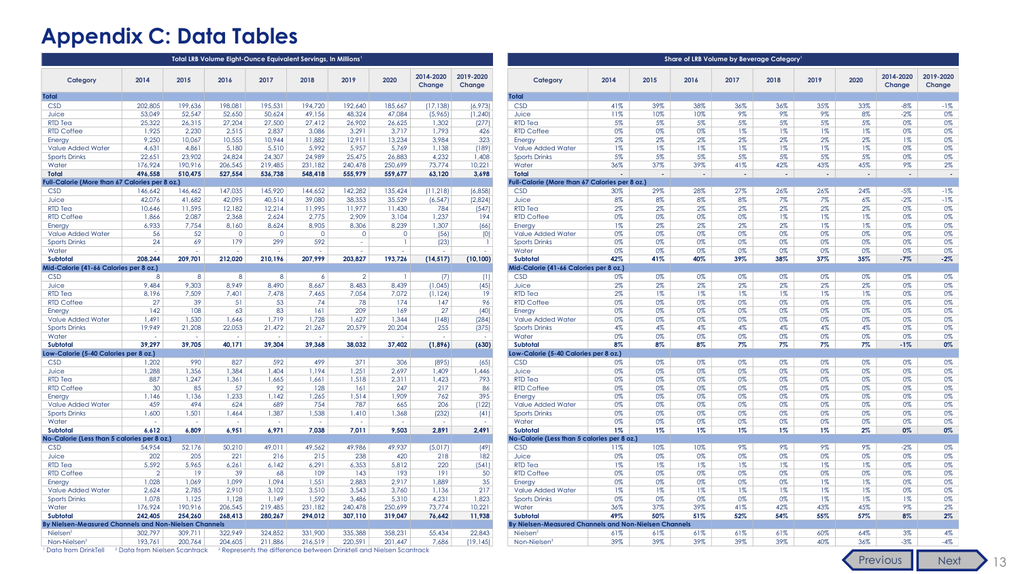## <span id="page-17-0"></span>**Appendix C: Data Tables**

|                                                       |                                          |                |          |                | Total LRB Volume Eight-Ounce Equivalent Servings, In Millions                  |           |                |                      | Share of LRB Volume by Beverage Category |                                                              |       |        |        |        |        |        |        |                     |                     |  |
|-------------------------------------------------------|------------------------------------------|----------------|----------|----------------|--------------------------------------------------------------------------------|-----------|----------------|----------------------|------------------------------------------|--------------------------------------------------------------|-------|--------|--------|--------|--------|--------|--------|---------------------|---------------------|--|
| Category                                              | 2014                                     | 2015           | 2016     | 2017           | 2018                                                                           | 2019      | 2020           | 2014-2020<br>Change  | 2019-2020<br>Change                      | Category                                                     | 2014  | 2015   | 2016   | 2017   | 2018   | 2019   | 2020   | 2014-2020<br>Change | 2019-2020<br>Change |  |
| <b>Total</b>                                          |                                          |                |          |                |                                                                                |           |                |                      |                                          | <b>Total</b>                                                 |       |        |        |        |        |        |        |                     |                     |  |
| <b>CSD</b>                                            | 202.805                                  | 199.636        | 198.081  | 195.531        | 194,720                                                                        | 192.640   | 185.667        | (17, 138)            | (6,973)                                  | <b>CSD</b>                                                   | 41%   | 39%    | 38%    | 36%    | 36%    | 35%    | 33%    | $-8\%$              | $-1%$               |  |
| Juice                                                 | 53,049                                   | 52,547         | 52,650   | 50,624         | 49,156                                                                         | 48,324    | 47,084         | (5,965)              | (1, 240)                                 | Juice                                                        | 11%   | 10%    | 10%    | 9%     | 9%     | 9%     | 8%     | $-2%$               | 0%                  |  |
| <b>RTD Tea</b>                                        | 25,322                                   | 26,315         | 27,204   | 27,500         | 27,412                                                                         | 26,902    | 26,625         | 1,302                | (277)                                    | <b>RTD Tea</b>                                               | 5%    | 5%     | 5%     | 5%     | 5%     | 5%     | 5%     | $0\%$               | 0%                  |  |
| <b>RTD Coffee</b>                                     | 1,925                                    | 2,230          | 2,515    | 2,837          | 3,086                                                                          | 3,291     | 3,717          | 1,793                | 426                                      | <b>RTD Coffee</b>                                            | 0%    | 0%     | 0%     | $1\%$  | $1\%$  | $1\%$  | $1\%$  | 0%                  | 0%                  |  |
| Energy                                                | 9,250                                    | 10,067         | 10,555   | 10,944         | 11,882                                                                         | 12,911    | 13,234         | 3,984                | 323                                      | Energy                                                       | 2%    | $2\%$  | 2%     | $2\%$  | 2%     | $2\%$  | 2%     | $1\%$               | 0%                  |  |
| <b>Value Added Water</b>                              | 4,631                                    | 4,861          | 5,180    | 5,510          | 5,992                                                                          | 5,957     | 5,769          | 1,138                | (189)                                    | <b>Value Added Water</b>                                     | $1\%$ | $1\%$  | $1\%$  | $1\%$  | $1\%$  | $1\%$  | $1\%$  | 0%                  | 0%                  |  |
| <b>Sports Drinks</b>                                  | 22,651                                   | 23,902         | 24,824   | 24.307         | 24,989                                                                         | 25,475    | 26,883         | 4,232                | 1,408                                    | <b>Sports Drinks</b>                                         | 5%    | 5%     | 5%     | 5%     | 5%     | 5%     | 5%     | 0%                  | 0%                  |  |
| Water                                                 | 176.924                                  | 190.916        | 206,545  | 219.485        | 231,182                                                                        | 240,478   | 250,699        | 73,774               | 10,221                                   | Water                                                        | 36%   | 37%    | 39%    | 41%    | 42%    | 43%    | 45%    | 9%                  | 2%                  |  |
| <b>Total</b>                                          | 496,558                                  | 510,475        | 527,554  | 536,738        | 548,418                                                                        | 555,979   | 559,677        | 63,120               | 3,698                                    | <b>Total</b>                                                 | х.    | $\sim$ | $\sim$ | $\sim$ | $\sim$ | $\sim$ | $\sim$ | $\sim$              | . .                 |  |
| Full-Calorie (More than 67 Calories per 8 oz.)        |                                          |                |          |                |                                                                                |           |                |                      |                                          | ull-Calorie (More than 67 Calories per 8 oz.)                |       |        |        |        |        |        |        |                     |                     |  |
| <b>CSD</b>                                            | 146,642                                  | 146,462        | 147,035  | 145,920        | 144,652                                                                        | 142,282   | 135,424        | (11, 218)            | (6, 858)                                 | <b>CSD</b>                                                   | 30%   | 29%    | 28%    | 27%    | 26%    | 26%    | 24%    | $-5%$               | $-1%$               |  |
| Juice                                                 | 42.076                                   | 41,682         | 42,095   | 40.514         | 39,080                                                                         | 38,353    | 35,529         | (6, 547)             | (2,824)                                  | Juice                                                        | 8%    | 8%     | 8%     | 8%     | 7%     | $7\%$  | 6%     | $-2\%$              | $-1%$               |  |
| <b>RTD Tea</b>                                        | 10,646                                   | 11,595         | 12,182   | 12,214         | 11,995                                                                         | 11,977    | 11,430         | 784                  | (547)                                    | <b>RTD Tea</b>                                               | $2\%$ | $2\%$  | 2%     | $2\%$  | 2%     | $2\%$  | 2%     | 0%                  | 0%                  |  |
| <b>RTD Coffee</b>                                     | 1.866                                    | 2.087          | 2.368    | 2.624          | 2.775                                                                          | 2.909     | 3.104          | 1.237                | 194                                      | <b>RTD Coffee</b>                                            | 0%    | 0%     | 0%     | 0%     | $1\%$  | $1\%$  | $1\%$  | 0%                  | 0%                  |  |
| Energy                                                | 6.933                                    | 7,754          | 8,160    | 8.624          | 8,905                                                                          | 8.306     | 8,239          | 1.307                | (66)                                     | Energy                                                       | $1\%$ | 2%     | 2%     | $2\%$  | 2%     | $1\%$  | $1\%$  | 0%                  | 0%                  |  |
| <b>Value Added Water</b>                              | 56                                       | 52             | $\Omega$ | $\overline{0}$ | $\circ$                                                                        | $\circ$   | $\circ$        | (56)                 | (0)                                      | <b>Value Added Water</b>                                     | 0%    | 0%     | 0%     | 0%     | 0%     | 0%     | 0%     | 0%                  | 0%                  |  |
| <b>Sports Drinks</b>                                  | 24                                       | 69             | 179      | 299            | 592                                                                            | $\sim$    |                | (23)                 | -1                                       | <b>Sports Drinks</b>                                         | 0%    | 0%     | 0%     | 0%     | 0%     | 0%     | 0%     | 0%                  | 0%                  |  |
| Water                                                 |                                          |                |          |                |                                                                                | $\sim$    |                |                      |                                          | Water                                                        | 0%    | 0%     | 0%     | 0%     | 0%     | 0%     | 0%     | 0%                  | 0%                  |  |
| <b>Subtotal</b>                                       | 208.244                                  | 209,701        | 212,020  | 210,196        | 207,999                                                                        | 203,827   | 193,726        | (14, 517)            | (10, 100)                                | Subtotal                                                     | 42%   | 41%    | 40%    | 39%    | 38%    | 37%    | 35%    | $-7%$               | $-2%$               |  |
| Mid-Calorie (41-66 Calories per 8 oz.)                |                                          |                |          |                |                                                                                |           |                |                      |                                          | Mid-Calorie (41-66 Calories per 8 oz.)                       |       |        |        |        |        |        |        |                     |                     |  |
| <b>CSD</b>                                            | 8                                        | 8 <sup>1</sup> | 8        | 8              | 6 <sup>1</sup>                                                                 | $\vert$ 2 | $\blacksquare$ | (7)                  | (1)                                      | <b>CSD</b>                                                   | 0%    | 0%     | 0%     | 0%     | 0%     | 0%     | 0%     | 0%                  | 0%                  |  |
| Juice                                                 | 9.484                                    | 9.303          | 8.949    | 8.490          | 8.667                                                                          | 8.483     | 8.439          | (1,045)              | (45)                                     | Juice                                                        | 2%    | 2%     | 2%     | 2%     | 2%     | 2%     | 2%     | 0%                  | 0%                  |  |
| <b>RTD Tea</b>                                        | 8.196                                    | 7.509          | 7.401    | 7.478          | 7.465                                                                          | 7.054     | 7.072          | (1, 124)             | 19                                       | <b>RTD Tea</b>                                               | 2%    | $1\%$  | $1\%$  | $1\%$  | $1\%$  | $1\%$  | $1\%$  | 0%                  | 0%                  |  |
| <b>RTD Coffee</b>                                     | 27                                       | 39             | 51       | 53             | 74                                                                             | 78        | 174            | 147                  | 96                                       | <b>RTD Coffee</b>                                            | 0%    | 0%     | 0%     | 0%     | 0%     | 0%     | 0%     | 0%                  | 0%                  |  |
| Energy                                                | 142                                      | 108            | 63       | 83             | 161                                                                            | 209       | 169            | 27                   | (40)                                     | Energy                                                       | 0%    | 0%     | 0%     | 0%     | 0%     | 0%     | 0%     | $0\%$               | 0%                  |  |
| <b>Value Added Water</b>                              | 1.491                                    | 1.530          | 1.646    | 1.719          | 1.728                                                                          | 1.627     | 1.344          | (148)                | (284)                                    | <b>Value Added Water</b>                                     | 0%    | 0%     | 0%     | 0%     | 0%     | 0%     | 0%     | $0\%$               | 0%                  |  |
| <b>Sports Drinks</b>                                  | 19.949                                   | 21.208         | 22.053   | 21.472         | 21,267<br>$\sim$                                                               | 20.579    | 20,204         | 255<br>$\Delta \tau$ | (375)                                    | Sports Drinks                                                | 4%    | 4%     | 4%     | 4%     | 4%     | 4%     | 4%     | 0%                  | 0%                  |  |
| Water                                                 | $\sim$                                   | $\sim$         | $\sim$   | $\sim$         |                                                                                | $\sim$    | $\sim$         |                      | $\sim$                                   | Water                                                        | 0%    | 0%     | 0%     | 0%     | 0%     | 0%     | 0%     | 0%                  | 0%                  |  |
| <b>Subtotal</b>                                       | 39.297                                   | 39.705         | 40.171   | 39,304         | 39,368                                                                         | 38,032    | 37,402         | (1,896)              | (630)                                    | Subtotal                                                     | 8%    | 8%     | 8%     | 7%     | 7%     | 7%     | 7%     | $-1%$               | 0%                  |  |
| Low-Calorie (5-40 Calories per 8 oz.)<br><b>CSD</b>   | 1,202                                    | 990            | 827      | 592            | 499                                                                            | 371       | 306            | (895)                |                                          | Low-Calorie (5-40 Calories per 8 oz.)<br><b>CSD</b>          | 0%    | 0%     | 0%     | 0%     | 0%     | 0%     | 0%     | 0%                  | 0%                  |  |
|                                                       | 1,288                                    | 1,356          | 1,384    | 1.404          | 1,194                                                                          | 1,251     | 2,697          | 1,409                | (65)<br>1,446                            | Juice                                                        | 0%    | 0%     | 0%     | 0%     | 0%     | 0%     | 0%     | 0%                  | 0%                  |  |
| Juice<br><b>RTD Tea</b>                               | 887                                      | 1.247          | 1,361    | 1,665          | 1,661                                                                          | 1,518     | 2,311          | 1,423                | 793                                      | <b>RTD Tea</b>                                               | 0%    | 0%     | 0%     | 0%     | 0%     | 0%     | 0%     | 0%                  | 0%                  |  |
| <b>RTD Coffee</b>                                     | 30                                       | 85             | 57       | 92             | 128                                                                            | 161       | 247            | 217                  | 86                                       | <b>RTD Coffee</b>                                            | 0%    | 0%     | 0%     | 0%     | 0%     | 0%     | 0%     | 0%                  | 0%                  |  |
| Energy                                                | 1.146                                    | 1,136          | 1,233    | 1.142          | 1,265                                                                          | 1.514     | 1,909          | 762                  | 395                                      | Energy                                                       | 0%    | 0%     | 0%     | 0%     | 0%     | 0%     | 0%     | 0%                  | 0%                  |  |
| Value Added Water                                     | 459                                      | 494            | 624      | 689            | 754                                                                            | 787       | 665            | 206                  | (122)                                    | Value Added Water                                            | 0%    | 0%     | 0%     | 0%     | 0%     | 0%     | 0%     | 0%                  | 0%                  |  |
| <b>Sports Drinks</b>                                  | 1,600                                    | 1,501          | 1.464    | 1,387          | 1,538                                                                          | 1,410     | 1,368          | (232)                | (41)                                     | <b>Sports Drinks</b>                                         | 0%    | 0%     | 0%     | 0%     | 0%     | 0%     | 0%     | 0%                  | 0%                  |  |
| Water                                                 | n.                                       | $\sim$         | $\sim$   | $\sim$         | $\sim$                                                                         | $\sim$    | $\sim$         | $\sim$               | $\sim$                                   | Water                                                        | 0%    | 0%     | 0%     | 0%     | 0%     | 0%     | 0%     | 0%                  | 0%                  |  |
| Subtotal                                              | 6,612                                    | 6,809          | 6,951    | 6,971          | 7,038                                                                          | 7,011     | 9,503          | 2,891                | 2,491                                    | <b>Subtotal</b>                                              | $1\%$ | $1\%$  | $1\%$  | $1\%$  | $1\%$  | $1\%$  | $2\%$  | 0%                  | 0%                  |  |
| No-Calorie (Less than 5 calories per 8 oz.)           |                                          |                |          |                |                                                                                |           |                |                      |                                          | No-Calorie (Less than 5 calories per 8 oz.)                  |       |        |        |        |        |        |        |                     |                     |  |
| <b>CSD</b>                                            | 54,954                                   | 52,176         | 50,210   | 49,011         | 49,562                                                                         | 49,986    | 49,937         | (5,017)              | (49)                                     | <b>CSD</b>                                                   | 11%   | 10%    | 10%    | 9%     | 9%     | 9%     | 9%     | $-2\%$              | 0%                  |  |
| Juice                                                 | 202                                      | 205            | 221      | 216            | 215                                                                            | 238       | 420            | 218                  | 182                                      | Juice                                                        | 0%    | 0%     | 0%     | 0%     | 0%     | 0%     | 0%     | 0%                  | 0%                  |  |
| <b>RTD Tea</b>                                        | 5.592                                    | 5.965          | 6,261    | 6.142          | 6.291                                                                          | 6.353     | 5.812          | 220                  | (541)                                    | <b>RTD Tea</b>                                               | $1\%$ | $1\%$  | 1%     | $1\%$  | $1\%$  | $1\%$  | $1\%$  | 0%                  | 0%                  |  |
| <b>RTD Coffee</b>                                     | $\overline{2}$                           | 19             | 39       | 68             | 109                                                                            | 143       | 193            | 191                  | 50                                       | <b>RTD Coffee</b>                                            | 0%    | 0%     | 0%     | 0%     | 0%     | 0%     | 0%     | 0%                  | 0%                  |  |
| Energy                                                | 1.028                                    | 1,069          | 1,099    | 1.094          | 1,551                                                                          | 2,883     | 2.917          | 1.889                | 35                                       | Energy                                                       | 0%    | 0%     | 0%     | 0%     | 0%     | $1\%$  | $1\%$  | 0%                  | 0%                  |  |
| <b>Value Added Water</b>                              | 2,624                                    | 2,785          | 2,910    | 3,102          | 3,510                                                                          | 3.543     | 3.760          | 1,136                | 217                                      | <b>Value Added Water</b>                                     | 1%    | $1\%$  | $1\%$  | $1\%$  | $1\%$  | $1\%$  | $1\%$  | 0%                  | 0%                  |  |
| <b>Sports Drinks</b>                                  | 1.078                                    | 1.125          | 1,128    | 1.149          | 1,592                                                                          | 3.486     | 5,310          | 4,231                | 1,823                                    | <b>Sports Drinks</b>                                         | 0%    | 0%     | 0%     | 0%     | 0%     | $1\%$  | $1\%$  | $1\%$               | 0%                  |  |
| Water                                                 | 176.924                                  | 190.916        | 206.545  | 219,485        | 231,182                                                                        | 240.478   | 250,699        | 73,774               | 10,221                                   | Water                                                        | 36%   | 37%    | 39%    | 41%    | 42%    | 43%    | 45%    | 9%                  | 2%                  |  |
| Subtotal                                              | 242,405                                  | 254,260        | 268,413  | 280,267        | 294,012                                                                        | 307,110   | 319,047        | 76,642               | 11,938                                   | Subtotal                                                     | 49%   | 50%    | 51%    | 52%    | 54%    | 55%    | 57%    | $8\%$               | $2\%$               |  |
| By Nielsen-Measured Channels and Non-Nielsen Channels |                                          |                |          |                |                                                                                |           |                |                      |                                          | <b>By Nielsen-Measured Channels and Non-Nielsen Channels</b> |       |        |        |        |        |        |        |                     |                     |  |
| Nielsen <sup>2</sup>                                  | 302.797                                  | 309.711        | 322,949  | 324.852        | 331,900                                                                        | 335,388   | 358.231        | 55.434               | 22.843                                   | Nielsen                                                      | 61%   | 61%    | 61%    | 61%    | 61%    | 60%    | 64%    | $3\%$               | 4%                  |  |
| Non-Nielsen <sup>3</sup>                              | 193.761                                  | 200,764        | 204.605  | 211.886        | 216,519                                                                        | 220.591   | 201.447        | 7.686                | (19, 145)                                | Non-Nielsen <sup>3</sup>                                     | 39%   | 39%    | 39%    | 39%    | 39%    | 40%    | 36%    | $-3\%$              | $-4%$               |  |
| Data from DrinkTell                                   | <sup>2</sup> Data from Nielsen Scantrack |                |          |                | <sup>3</sup> Represents the difference between Drinktell and Nielsen Scantrack |           |                |                      |                                          |                                                              |       |        |        |        |        |        |        |                     |                     |  |

[Previous](#page-16-0) [Next](#page-18-0) 13